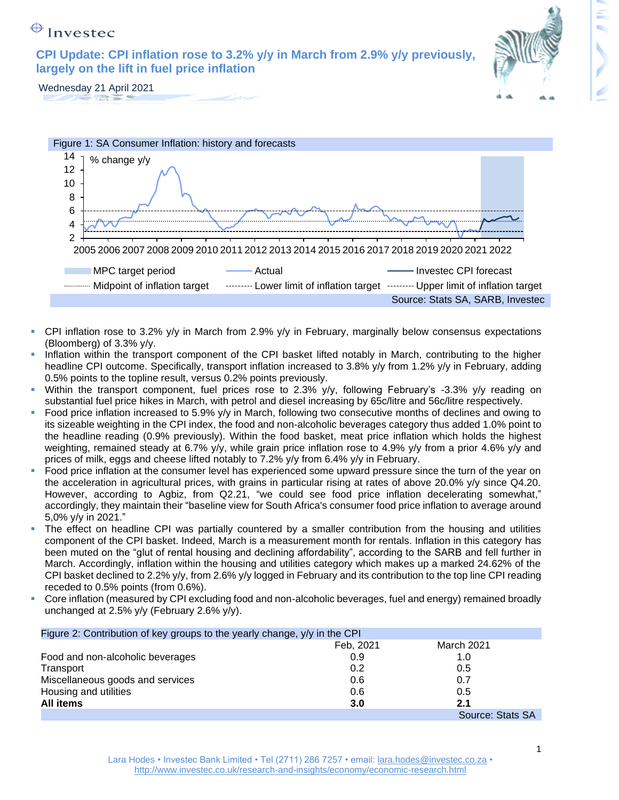# $\bigoplus$  Investec

**CPI Update: CPI inflation rose to 3.2% y/y in March from 2.9% y/y previously, largely on the lift in fuel price inflation**



Wednesday 21 April 2021





- CPI inflation rose to 3.2% y/y in March from 2.9% y/y in February, marginally below consensus expectations (Bloomberg) of 3.3% y/y.
- Inflation within the transport component of the CPI basket lifted notably in March, contributing to the higher headline CPI outcome. Specifically, transport inflation increased to 3.8% y/y from 1.2% y/y in February, adding 0.5% points to the topline result, versus 0.2% points previously.
- Within the transport component, fuel prices rose to 2.3% y/y, following February's -3.3% y/y reading on substantial fuel price hikes in March, with petrol and diesel increasing by 65c/litre and 56c/litre respectively.
- Food price inflation increased to 5.9% y/y in March, following two consecutive months of declines and owing to its sizeable weighting in the CPI index, the food and non-alcoholic beverages category thus added 1.0% point to the headline reading (0.9% previously). Within the food basket, meat price inflation which holds the highest weighting, remained steady at 6.7% y/y, while grain price inflation rose to 4.9% y/y from a prior 4.6% y/y and prices of milk, eggs and cheese lifted notably to 7.2% y/y from 6.4% y/y in February.
- Food price inflation at the consumer level has experienced some upward pressure since the turn of the year on the acceleration in agricultural prices, with grains in particular rising at rates of above 20.0% y/y since Q4.20. However, according to Agbiz, from Q2.21, "we could see food price inflation decelerating somewhat," accordingly, they maintain their "baseline view for South Africa's consumer food price inflation to average around 5,0% y/y in 2021."
- The effect on headline CPI was partially countered by a smaller contribution from the housing and utilities component of the CPI basket. Indeed, March is a measurement month for rentals. Inflation in this category has been muted on the "glut of rental housing and declining affordability", according to the SARB and fell further in March. Accordingly, inflation within the housing and utilities category which makes up a marked 24.62% of the CPI basket declined to 2.2% y/y, from 2.6% y/y logged in February and its contribution to the top line CPI reading receded to 0.5% points (from 0.6%).
- Core inflation (measured by CPI excluding food and non-alcoholic beverages, fuel and energy) remained broadly unchanged at 2.5% y/y (February 2.6% y/y).

| Figure 2: Contribution of key groups to the yearly change, y/y in the CPI |           |                  |
|---------------------------------------------------------------------------|-----------|------------------|
|                                                                           | Feb, 2021 | March 2021       |
| Food and non-alcoholic beverages                                          | 0.9       | 1.0              |
| Transport                                                                 | 0.2       | 0.5              |
| Miscellaneous goods and services                                          | 0.6       | 0.7              |
| Housing and utilities                                                     | 0.6       | 0.5              |
| All items                                                                 | 3.0       | 2.1              |
|                                                                           |           | Source: Stats SA |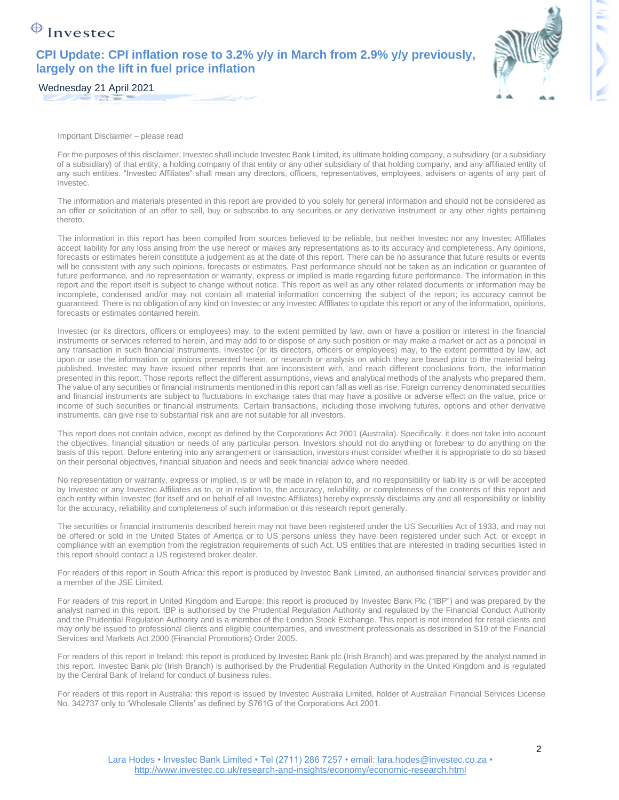# $\bigoplus$  Investec

#### **CPI Update: CPI inflation rose to 3.2% y/y in March from 2.9% y/y previously, largely on the lift in fuel price inflation**



Important Disclaimer – please read

For the purposes of this disclaimer, Investec shall include Investec Bank Limited, its ultimate holding company, a subsidiary (or a subsidiary of a subsidiary) of that entity, a holding company of that entity or any other subsidiary of that holding company, and any affiliated entity of any such entities. "Investec Affiliates" shall mean any directors, officers, representatives, employees, advisers or agents of any part of Investec.

The information and materials presented in this report are provided to you solely for general information and should not be considered as an offer or solicitation of an offer to sell, buy or subscribe to any securities or any derivative instrument or any other rights pertaining thereto.

The information in this report has been compiled from sources believed to be reliable, but neither Investec nor any Investec Affiliates accept liability for any loss arising from the use hereof or makes any representations as to its accuracy and completeness. Any opinions, forecasts or estimates herein constitute a judgement as at the date of this report. There can be no assurance that future results or events will be consistent with any such opinions, forecasts or estimates. Past performance should not be taken as an indication or guarantee of future performance, and no representation or warranty, express or implied is made regarding future performance. The information in this report and the report itself is subject to change without notice. This report as well as any other related documents or information may be incomplete, condensed and/or may not contain all material information concerning the subject of the report; its accuracy cannot be guaranteed. There is no obligation of any kind on Investec or any Investec Affiliates to update this report or any of the information, opinions, forecasts or estimates contained herein.

Investec (or its directors, officers or employees) may, to the extent permitted by law, own or have a position or interest in the financial instruments or services referred to herein, and may add to or dispose of any such position or may make a market or act as a principal in any transaction in such financial instruments. Investec (or its directors, officers or employees) may, to the extent permitted by law, act upon or use the information or opinions presented herein, or research or analysis on which they are based prior to the material being published. Investec may have issued other reports that are inconsistent with, and reach different conclusions from, the information presented in this report. Those reports reflect the different assumptions, views and analytical methods of the analysts who prepared them. The value of any securities or financial instruments mentioned in this report can fall as well as rise. Foreign currency denominated securities and financial instruments are subject to fluctuations in exchange rates that may have a positive or adverse effect on the value, price or income of such securities or financial instruments. Certain transactions, including those involving futures, options and other derivative instruments, can give rise to substantial risk and are not suitable for all investors.

This report does not contain advice, except as defined by the Corporations Act 2001 (Australia). Specifically, it does not take into account the objectives, financial situation or needs of any particular person. Investors should not do anything or forebear to do anything on the basis of this report. Before entering into any arrangement or transaction, investors must consider whether it is appropriate to do so based on their personal objectives, financial situation and needs and seek financial advice where needed.

No representation or warranty, express or implied, is or will be made in relation to, and no responsibility or liability is or will be accepted by Investec or any Investec Affiliates as to, or in relation to, the accuracy, reliability, or completeness of the contents of this report and each entity within Investec (for itself and on behalf of all Investec Affiliates) hereby expressly disclaims any and all responsibility or liability for the accuracy, reliability and completeness of such information or this research report generally.

The securities or financial instruments described herein may not have been registered under the US Securities Act of 1933, and may not be offered or sold in the United States of America or to US persons unless they have been registered under such Act, or except in compliance with an exemption from the registration requirements of such Act. US entities that are interested in trading securities listed in this report should contact a US registered broker dealer.

For readers of this report in South Africa: this report is produced by Investec Bank Limited, an authorised financial services provider and a member of the JSE Limited.

For readers of this report in United Kingdom and Europe: this report is produced by Investec Bank Plc ("IBP") and was prepared by the analyst named in this report. IBP is authorised by the Prudential Regulation Authority and regulated by the Financial Conduct Authority and the Prudential Regulation Authority and is a member of the London Stock Exchange. This report is not intended for retail clients and may only be issued to professional clients and eligible counterparties, and investment professionals as described in S19 of the Financial Services and Markets Act 2000 (Financial Promotions) Order 2005.

For readers of this report in Ireland: this report is produced by Investec Bank plc (Irish Branch) and was prepared by the analyst named in this report. Investec Bank plc (Irish Branch) is authorised by the Prudential Regulation Authority in the United Kingdom and is regulated by the Central Bank of Ireland for conduct of business rules.

For readers of this report in Australia: this report is issued by Investec Australia Limited, holder of Australian Financial Services License No. 342737 only to 'Wholesale Clients' as defined by S761G of the Corporations Act 2001.